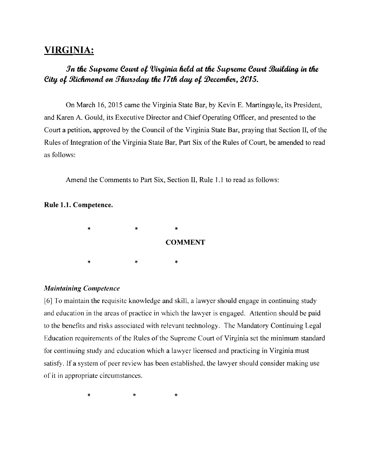# **VIRGINIA:**

# *In the Supreme Court of Virginia held at the Supreme Court Building in the City of Richmond on Thursday the 17th day of December, 2015.*

On March 16, 2015 came the Virginia State Bar, by Kevin E. Martingayle, its President, and Karen A. Gould, its Executive Director and Chief Operating Officer, and presented to the Court a petition, approved by the Council of the Virginia State Bar, praying that Section II, of the Rules of Integration of the Virginia State Bar, Part Six of the Rules of Court, be amended to read as follows:

Amend the Comments to Part Six, Section II, Rule 1.1 to read as follows:

## Rule 1.1. Competence.



# *Maintaining Competence*

[6] To maintain the requisite knowledge and skill, a lawyer should engage in continuing study and education in the areas of practice in which the lawyer is engaged. Attention should be paid to the benefits and risks associated with relevant technology. The Mandatory Continuing Legal Education requirements of the Rules of the Supreme Court of Virginia set the minimum standard for continuing study and education which a lawyer licensed and practicing in Virginia must satisfy. If a system of peer review has been established. the lawyer should consider making use of it in appropriate circumstances.

\* \* \*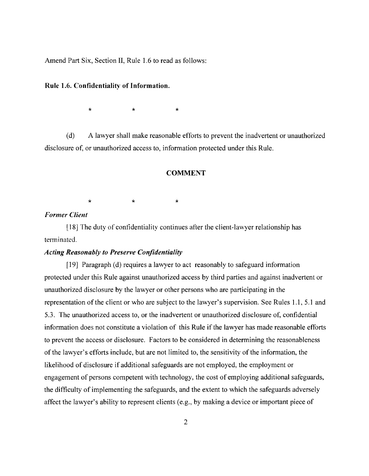Amend Part Six, Section II, Rule 1.6 to read as follows:

#### Rule 1.6. ConfidentiaJity of Information.

 $\star$  \*  $\star$  \*

(d) A lawyer shall make reasonable efforts to prevent the inadvertent or unauthorized disclosure of, or unauthorized access to, information protected under this Rule.

#### **COMMENT**

 $\star$   $\star$   $\star$ 

# *Former Client*

[18J The duty of contidentiality continues after the client-lawyer relationship has terminated.

## *Acting Reasonably to Preserve Confidentiality*

[19] Paragraph (d) requires a lawyer to act reasonably to safeguard information protected under this Rule against unauthorized access by third parties and against inadvertent or unauthorized disclosure by the lawyer or other persons who are participating in the representation of the client or who are subject to the lawyer's supervision. See Rules 1.1, 5.1 and 5.3. The unauthorized access to, or the inadvertent or unauthorized disclosure of, confidential information does not constitute a violation of this Rule if the lawyer has made reasonable efforts to prevent the access or disclosure. Factors to be considered in detennining the reasonableness of the lawyer's efforts include, but are not limited to, the sensitivity of the information, the likelihood of disclosure if additional safeguards are not employed, the employment or engagement of persons competent with technology, the cost of employing additional safeguards, the difficulty of implementing the safeguards, and the extent to which the safeguards adversely affect the lawyer's ability to represent clients (e.g., by making a device or important piece of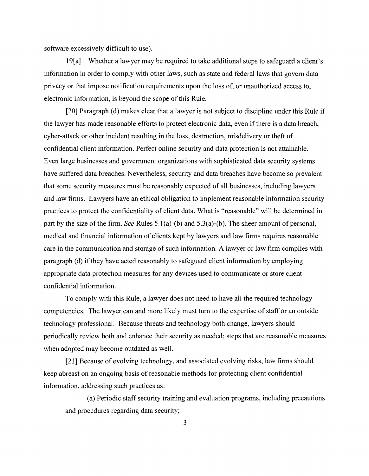software excessively difficult to use).

19[a] Whether a lawyer may be required to take additional steps to safeguard a client's information in order to comply with other laws, such as state and federal laws that govern data privacy or that impose notification requirements upon the loss of, or unauthorized access to, electronic information, is beyond the scope of this Rule.

[20] Paragraph (d) makes clear that a lawyer is not subject to discipline under this Rule if the lawyer has made reasonable efforts to protect electronic data, even if there is a data breach, cyber-attack or other incident resulting in the loss, destruction, misdelivery or theft of confidential client information. Perfect online security and data protection is not attainable. Even large businesses and government organizations with sophisticated data security systems have suffered data breaches. Nevertheless, security and data breaches have become so prevalent that some security measures must be reasonably expected of all businesses, including lawyers and law firms. Lawyers have an ethical obligation to implement reasonable information security practices to protect the confidentiality of client data. What is "reasonable" will be determined in part by the size of the firm. *See* Rules  $5.1(a)$ -(b) and  $5.3(a)$ -(b). The sheer amount of personal, medical and financial information of clients kept by lawyers and law firms requires reasonable care in the communication and storage of such information. A lawyer or law firm complies with paragraph (d) ifthey have acted reasonably to safeguard client information by employing appropriate data protection measures for any devices used to communicate or store client confidential information.

To comply with this Rule, a lawyer does not need to have all the required technology competencies. The lawyer can and more likely must tum to the expertise of staff or an outside technology professional. Because threats and technology both change, lawyers should periodically review both and enhance their security as needed; steps that are reasonable measures when adopted may become outdated as well.

[21] Because of evolving technology, and associated evolving risks, law firms should keep abreast on an ongoing basis of reasonable methods for protecting client confidential information, addressing such practices as:

(a) Periodic staff security training and evaluation programs, including precautions and procedures regarding data security;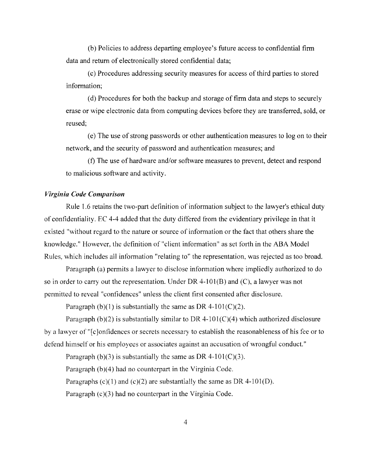(b) Policies to address departing employee's future access to confidential firm data and return of electronically stored confidential data;

(c) Procedures addressing security measures for access ofthird parties to stored information;

(d) Procedures for both the backup and storage of firm data and steps to securely erase or wipe electronic data from computing devices before they are transferred, sold, or reused;

(e) The use of strong passwords or other authentication measures to log on to their network, and the security of password and authentication measures; and

(f) The use of hardware and/or software measures to prevent, detect and respond to malicious software and activity.

### *Virginia Code Comparison*

Rule 1.6 retains the two-part definition of information subject to the lawyer's ethical duty of confidentiality. EC 4-4 added that the duty differed from the evidentiary privilege in that it existed "without regard to the nature or source of information or the fact that others share the knowledge." However, the definition of "client information" as set forth in the ABA Model Rules, which includes all information "relating to" the representation, was rejected as too broad.

Paragraph (a) permits a lawyer to disclose information where impliedly authorized to do so in order to carry out the representation. Under DR 4-101 $(B)$  and  $(C)$ , a lawyer was not permitted to reveal "confidences" unless the client first consented after disclosure.

Paragraph (b)(1) is substantially the same as DR 4-101(C)(2).

Paragraph (b)(2) is substantially similar to DR 4-101(C)(4) which authorized disclosure by a lawyer of "[ c ]onfidenees or secrets necessary to establish the reasonableness of his fee or to defend himself or his employees or associates against an accusation of wrongful conduct."

Paragraph (b)(3) is substantially the same as DR 4-101(C)(3). Paragraph (b)(4) had no counterpart in the Virginia Code. Paragraphs (c)(1) and (c)(2) are substantially the same as DR 4-101(D). Paragraph (c)(3) had no counterpart in the Virginia Code.